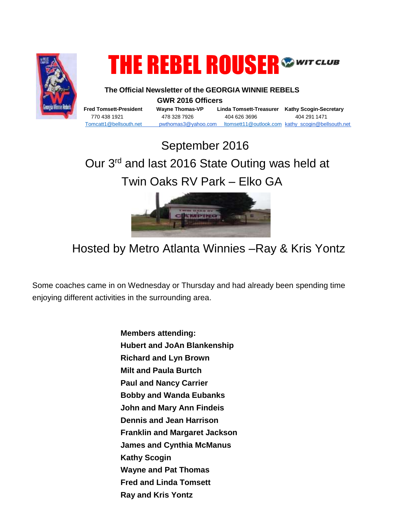

## **THE REBEL ROUSER®**

 **The Official Newsletter of the GEORGIA WINNIE REBELS GWR 2016 Officers** 

**Fred Tomsett-President Wayne Thomas-VP Linda Tomsett-Treasurer Kathy Scogin-Secretary** 770 438 1921 478 328 7926 404 626 3696 404 291 1471 [Tomcatt1@bellsouth.net](mailto:Tomcatt1@bellsouth.net) pwthomas3@yahoo.com [ltomsett11@outlook.com](mailto:ltomsett11@outlook.com) kathy\_scogin@bellsouth.net

## September 2016 Our 3rd and last 2016 State Outing was held at Twin Oaks RV Park – Elko GA



## Hosted by Metro Atlanta Winnies –Ray & Kris Yontz

Some coaches came in on Wednesday or Thursday and had already been spending time enjoying different activities in the surrounding area.

> **Members attending: Hubert and JoAn Blankenship Richard and Lyn Brown Milt and Paula Burtch Paul and Nancy Carrier Bobby and Wanda Eubanks John and Mary Ann Findeis Dennis and Jean Harrison Franklin and Margaret Jackson James and Cynthia McManus Kathy Scogin Wayne and Pat Thomas Fred and Linda Tomsett Ray and Kris Yontz**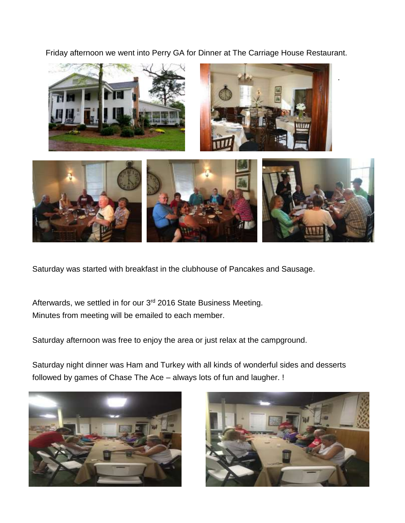Friday afternoon we went into Perry GA for Dinner at The Carriage House Restaurant.



Saturday was started with breakfast in the clubhouse of Pancakes and Sausage.

Afterwards, we settled in for our 3<sup>rd</sup> 2016 State Business Meeting. Minutes from meeting will be emailed to each member.

Saturday afternoon was free to enjoy the area or just relax at the campground.

Saturday night dinner was Ham and Turkey with all kinds of wonderful sides and desserts followed by games of Chase The Ace – always lots of fun and laugher. !